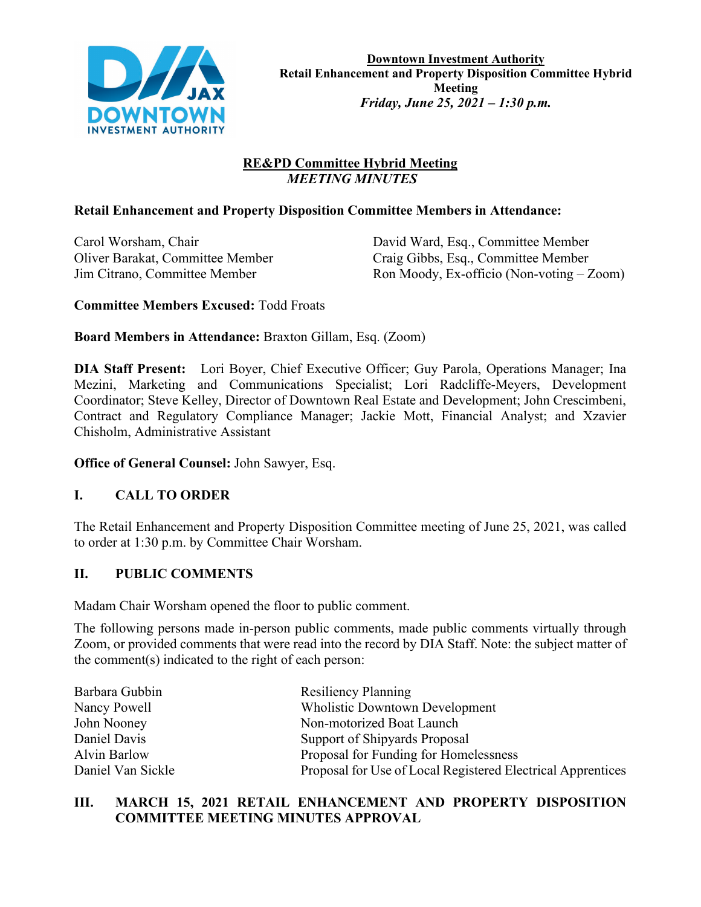

# **RE&PD Committee Hybrid Meeting**  *MEETING MINUTES*

## **Retail Enhancement and Property Disposition Committee Members in Attendance:**

Carol Worsham, Chair David Ward, Esq., Committee Member Oliver Barakat, Committee Member Craig Gibbs, Esq., Committee Member Jim Citrano, Committee Member Ron Moody, Ex-officio (Non-voting – Zoom)

### **Committee Members Excused:** Todd Froats

### **Board Members in Attendance:** Braxton Gillam, Esq. (Zoom)

**DIA Staff Present:** Lori Boyer, Chief Executive Officer; Guy Parola, Operations Manager; Ina Mezini, Marketing and Communications Specialist; Lori Radcliffe-Meyers, Development Coordinator; Steve Kelley, Director of Downtown Real Estate and Development; John Crescimbeni, Contract and Regulatory Compliance Manager; Jackie Mott, Financial Analyst; and Xzavier Chisholm, Administrative Assistant

**Office of General Counsel:** John Sawyer, Esq.

## **I. CALL TO ORDER**

The Retail Enhancement and Property Disposition Committee meeting of June 25, 2021, was called to order at 1:30 p.m. by Committee Chair Worsham.

## **II. PUBLIC COMMENTS**

Madam Chair Worsham opened the floor to public comment.

The following persons made in-person public comments, made public comments virtually through Zoom, or provided comments that were read into the record by DIA Staff. Note: the subject matter of the comment(s) indicated to the right of each person:

| Barbara Gubbin      | <b>Resiliency Planning</b>                                  |
|---------------------|-------------------------------------------------------------|
| Nancy Powell        | <b>Wholistic Downtown Development</b>                       |
| John Nooney         | Non-motorized Boat Launch                                   |
| Daniel Davis        | Support of Shipyards Proposal                               |
| <b>Alvin Barlow</b> | Proposal for Funding for Homelessness                       |
| Daniel Van Sickle   | Proposal for Use of Local Registered Electrical Apprentices |

## **III. MARCH 15, 2021 RETAIL ENHANCEMENT AND PROPERTY DISPOSITION COMMITTEE MEETING MINUTES APPROVAL**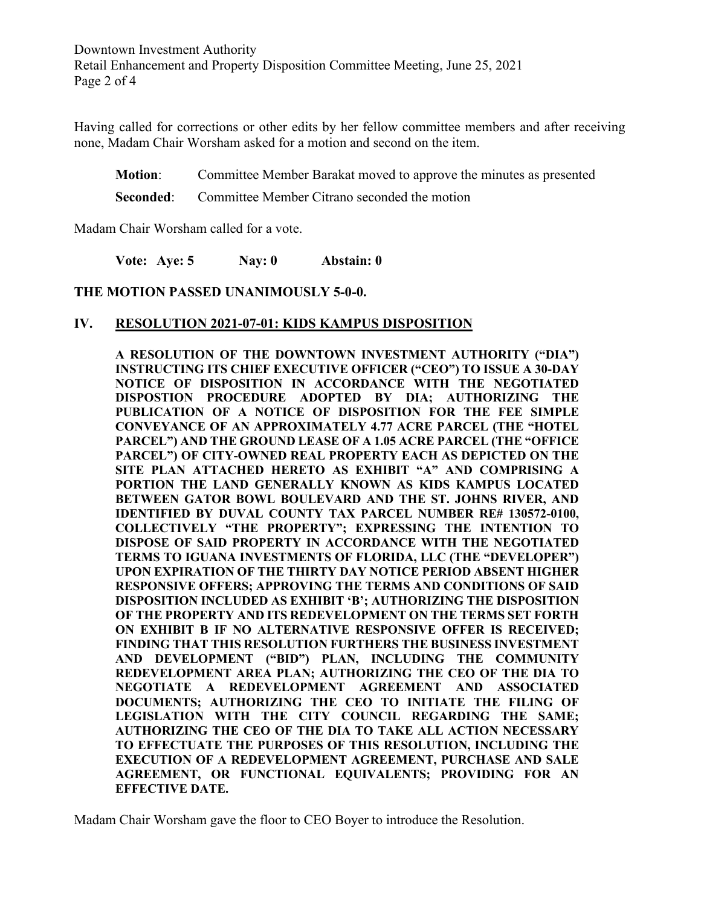Downtown Investment Authority Retail Enhancement and Property Disposition Committee Meeting, June 25, 2021 Page 2 of 4

Having called for corrections or other edits by her fellow committee members and after receiving none, Madam Chair Worsham asked for a motion and second on the item.

**Motion:** Committee Member Barakat moved to approve the minutes as presented

**Seconded:** Committee Member Citrano seconded the motion

Madam Chair Worsham called for a vote.

**Vote: Aye: 5 Nay: 0 Abstain: 0**

#### **THE MOTION PASSED UNANIMOUSLY 5-0-0.**

#### **IV. RESOLUTION 2021-07-01: KIDS KAMPUS DISPOSITION**

**A RESOLUTION OF THE DOWNTOWN INVESTMENT AUTHORITY ("DIA") INSTRUCTING ITS CHIEF EXECUTIVE OFFICER ("CEO") TO ISSUE A 30-DAY NOTICE OF DISPOSITION IN ACCORDANCE WITH THE NEGOTIATED DISPOSTION PROCEDURE ADOPTED BY DIA; AUTHORIZING THE PUBLICATION OF A NOTICE OF DISPOSITION FOR THE FEE SIMPLE CONVEYANCE OF AN APPROXIMATELY 4.77 ACRE PARCEL (THE "HOTEL PARCEL") AND THE GROUND LEASE OF A 1.05 ACRE PARCEL (THE "OFFICE PARCEL") OF CITY-OWNED REAL PROPERTY EACH AS DEPICTED ON THE SITE PLAN ATTACHED HERETO AS EXHIBIT "A" AND COMPRISING A PORTION THE LAND GENERALLY KNOWN AS KIDS KAMPUS LOCATED BETWEEN GATOR BOWL BOULEVARD AND THE ST. JOHNS RIVER, AND IDENTIFIED BY DUVAL COUNTY TAX PARCEL NUMBER RE# 130572-0100, COLLECTIVELY "THE PROPERTY"; EXPRESSING THE INTENTION TO DISPOSE OF SAID PROPERTY IN ACCORDANCE WITH THE NEGOTIATED TERMS TO IGUANA INVESTMENTS OF FLORIDA, LLC (THE "DEVELOPER") UPON EXPIRATION OF THE THIRTY DAY NOTICE PERIOD ABSENT HIGHER RESPONSIVE OFFERS; APPROVING THE TERMS AND CONDITIONS OF SAID DISPOSITION INCLUDED AS EXHIBIT 'B'; AUTHORIZING THE DISPOSITION OF THE PROPERTY AND ITS REDEVELOPMENT ON THE TERMS SET FORTH ON EXHIBIT B IF NO ALTERNATIVE RESPONSIVE OFFER IS RECEIVED; FINDING THAT THIS RESOLUTION FURTHERS THE BUSINESS INVESTMENT AND DEVELOPMENT ("BID") PLAN, INCLUDING THE COMMUNITY REDEVELOPMENT AREA PLAN; AUTHORIZING THE CEO OF THE DIA TO NEGOTIATE A REDEVELOPMENT AGREEMENT AND ASSOCIATED DOCUMENTS; AUTHORIZING THE CEO TO INITIATE THE FILING OF LEGISLATION WITH THE CITY COUNCIL REGARDING THE SAME; AUTHORIZING THE CEO OF THE DIA TO TAKE ALL ACTION NECESSARY TO EFFECTUATE THE PURPOSES OF THIS RESOLUTION, INCLUDING THE EXECUTION OF A REDEVELOPMENT AGREEMENT, PURCHASE AND SALE AGREEMENT, OR FUNCTIONAL EQUIVALENTS; PROVIDING FOR AN EFFECTIVE DATE.**

Madam Chair Worsham gave the floor to CEO Boyer to introduce the Resolution.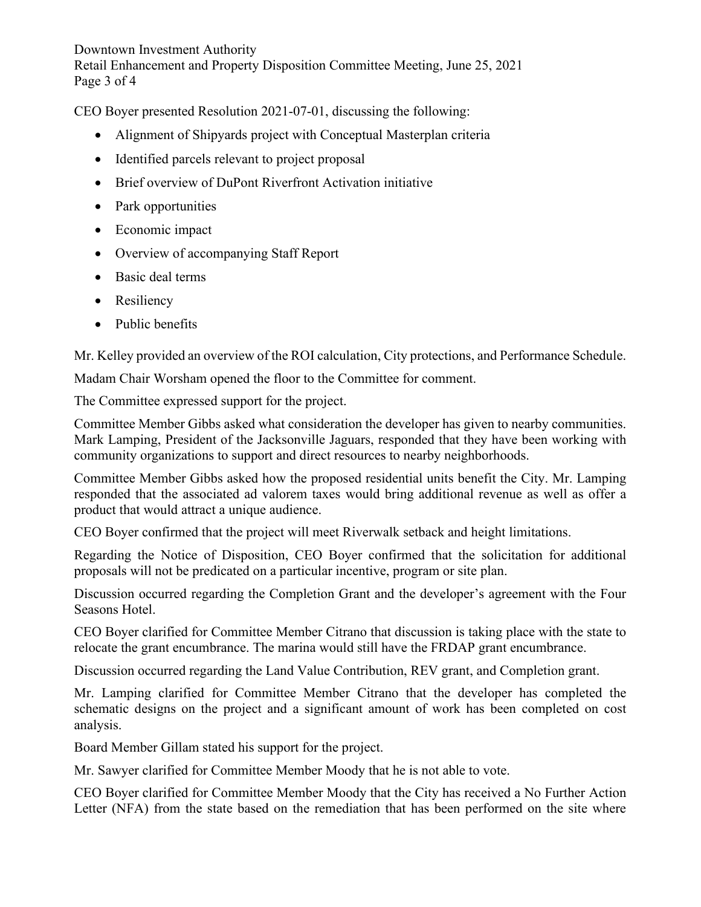Downtown Investment Authority Retail Enhancement and Property Disposition Committee Meeting, June 25, 2021 Page 3 of 4

CEO Boyer presented Resolution 2021-07-01, discussing the following:

- Alignment of Shipyards project with Conceptual Masterplan criteria
- Identified parcels relevant to project proposal
- Brief overview of DuPont Riverfront Activation initiative
- Park opportunities
- Economic impact
- Overview of accompanying Staff Report
- Basic deal terms
- Resiliency
- Public benefits

Mr. Kelley provided an overview of the ROI calculation, City protections, and Performance Schedule.

Madam Chair Worsham opened the floor to the Committee for comment.

The Committee expressed support for the project.

Committee Member Gibbs asked what consideration the developer has given to nearby communities. Mark Lamping, President of the Jacksonville Jaguars, responded that they have been working with community organizations to support and direct resources to nearby neighborhoods.

Committee Member Gibbs asked how the proposed residential units benefit the City. Mr. Lamping responded that the associated ad valorem taxes would bring additional revenue as well as offer a product that would attract a unique audience.

CEO Boyer confirmed that the project will meet Riverwalk setback and height limitations.

Regarding the Notice of Disposition, CEO Boyer confirmed that the solicitation for additional proposals will not be predicated on a particular incentive, program or site plan.

Discussion occurred regarding the Completion Grant and the developer's agreement with the Four Seasons Hotel.

CEO Boyer clarified for Committee Member Citrano that discussion is taking place with the state to relocate the grant encumbrance. The marina would still have the FRDAP grant encumbrance.

Discussion occurred regarding the Land Value Contribution, REV grant, and Completion grant.

Mr. Lamping clarified for Committee Member Citrano that the developer has completed the schematic designs on the project and a significant amount of work has been completed on cost analysis.

Board Member Gillam stated his support for the project.

Mr. Sawyer clarified for Committee Member Moody that he is not able to vote.

CEO Boyer clarified for Committee Member Moody that the City has received a No Further Action Letter (NFA) from the state based on the remediation that has been performed on the site where